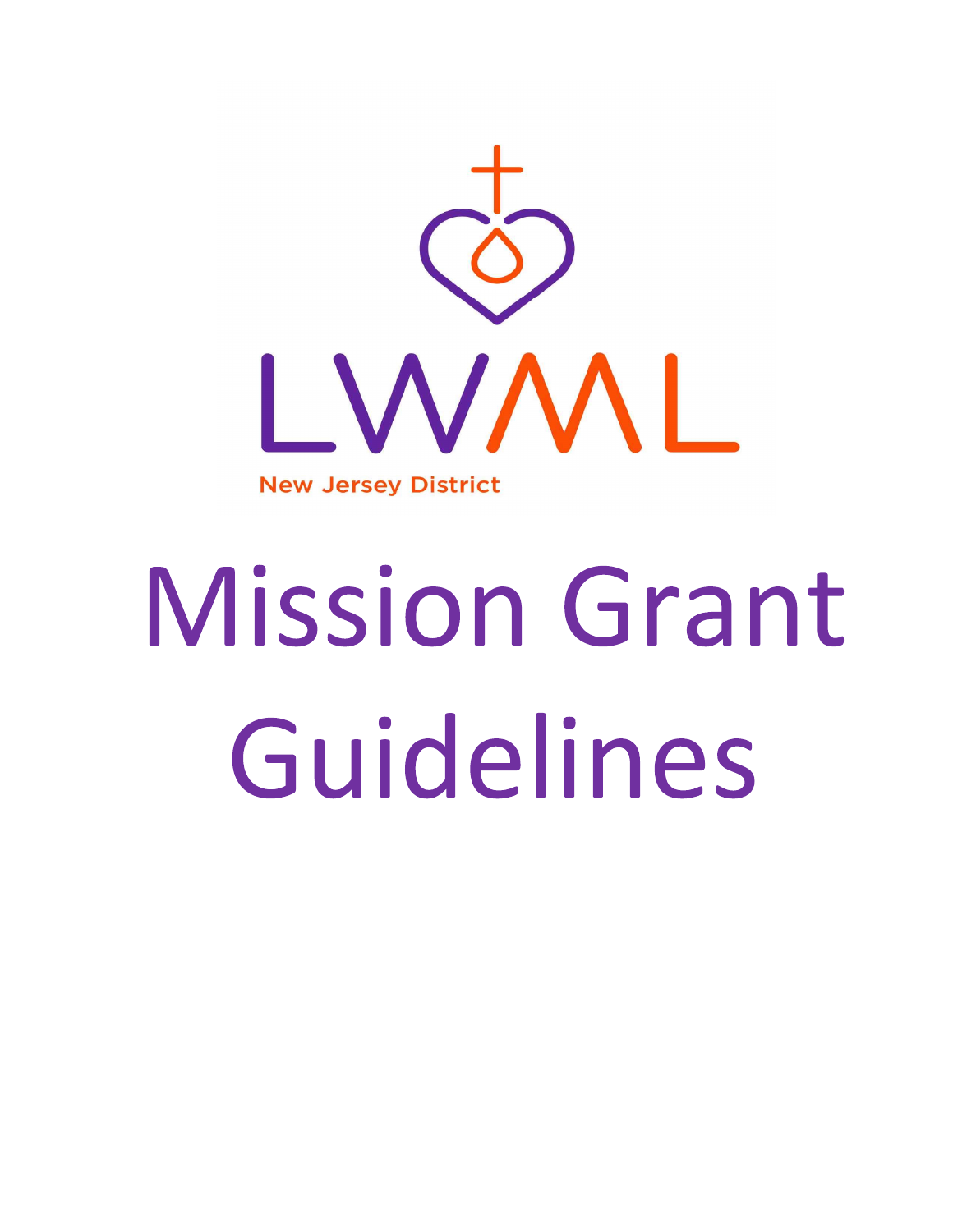

# **Mission Grant** Guidelines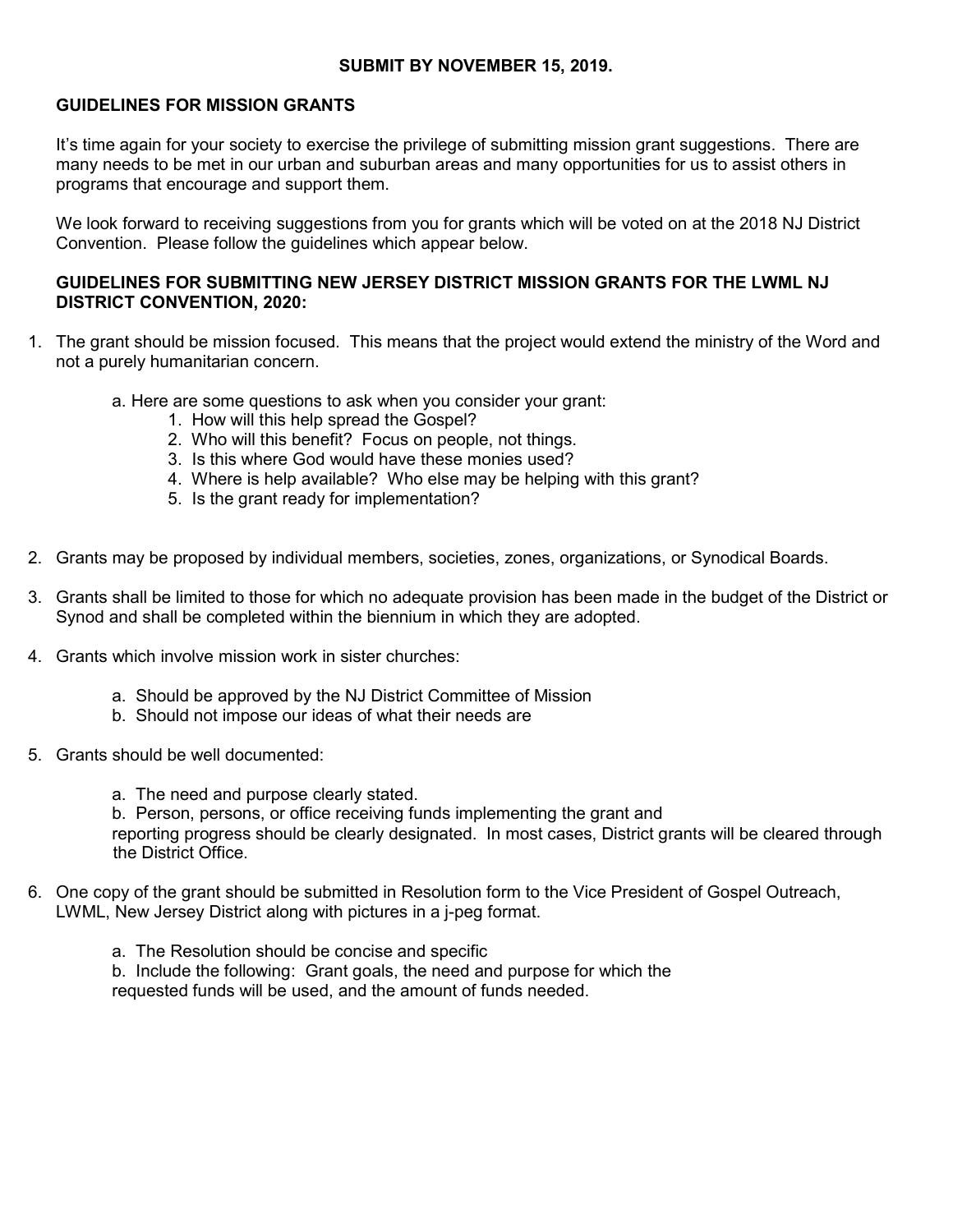#### SUBMIT BY NOVEMBER 15, 2019.

#### GUIDELINES FOR MISSION GRANTS

It's time again for your society to exercise the privilege of submitting mission grant suggestions. There are many needs to be met in our urban and suburban areas and many opportunities for us to assist others in programs that encourage and support them.

We look forward to receiving suggestions from you for grants which will be voted on at the 2018 NJ District Convention. Please follow the guidelines which appear below.

#### GUIDELINES FOR SUBMITTING NEW JERSEY DISTRICT MISSION GRANTS FOR THE LWML NJ DISTRICT CONVENTION, 2020:

- 1. The grant should be mission focused. This means that the project would extend the ministry of the Word and not a purely humanitarian concern.
	- a. Here are some questions to ask when you consider your grant:
		- 1. How will this help spread the Gospel?
		- 2. Who will this benefit? Focus on people, not things.
		- 3. Is this where God would have these monies used?
		- 4. Where is help available? Who else may be helping with this grant?
		- 5. Is the grant ready for implementation?
- 2. Grants may be proposed by individual members, societies, zones, organizations, or Synodical Boards.
- 3. Grants shall be limited to those for which no adequate provision has been made in the budget of the District or Synod and shall be completed within the biennium in which they are adopted.
- 4. Grants which involve mission work in sister churches:
	- a. Should be approved by the NJ District Committee of Mission
	- b. Should not impose our ideas of what their needs are
- 5. Grants should be well documented:
	- a. The need and purpose clearly stated.

 b. Person, persons, or office receiving funds implementing the grant and reporting progress should be clearly designated. In most cases, District grants will be cleared through the District Office.

- 6. One copy of the grant should be submitted in Resolution form to the Vice President of Gospel Outreach, LWML, New Jersey District along with pictures in a j-peg format.
	- a. The Resolution should be concise and specific b. Include the following: Grant goals, the need and purpose for which the requested funds will be used, and the amount of funds needed.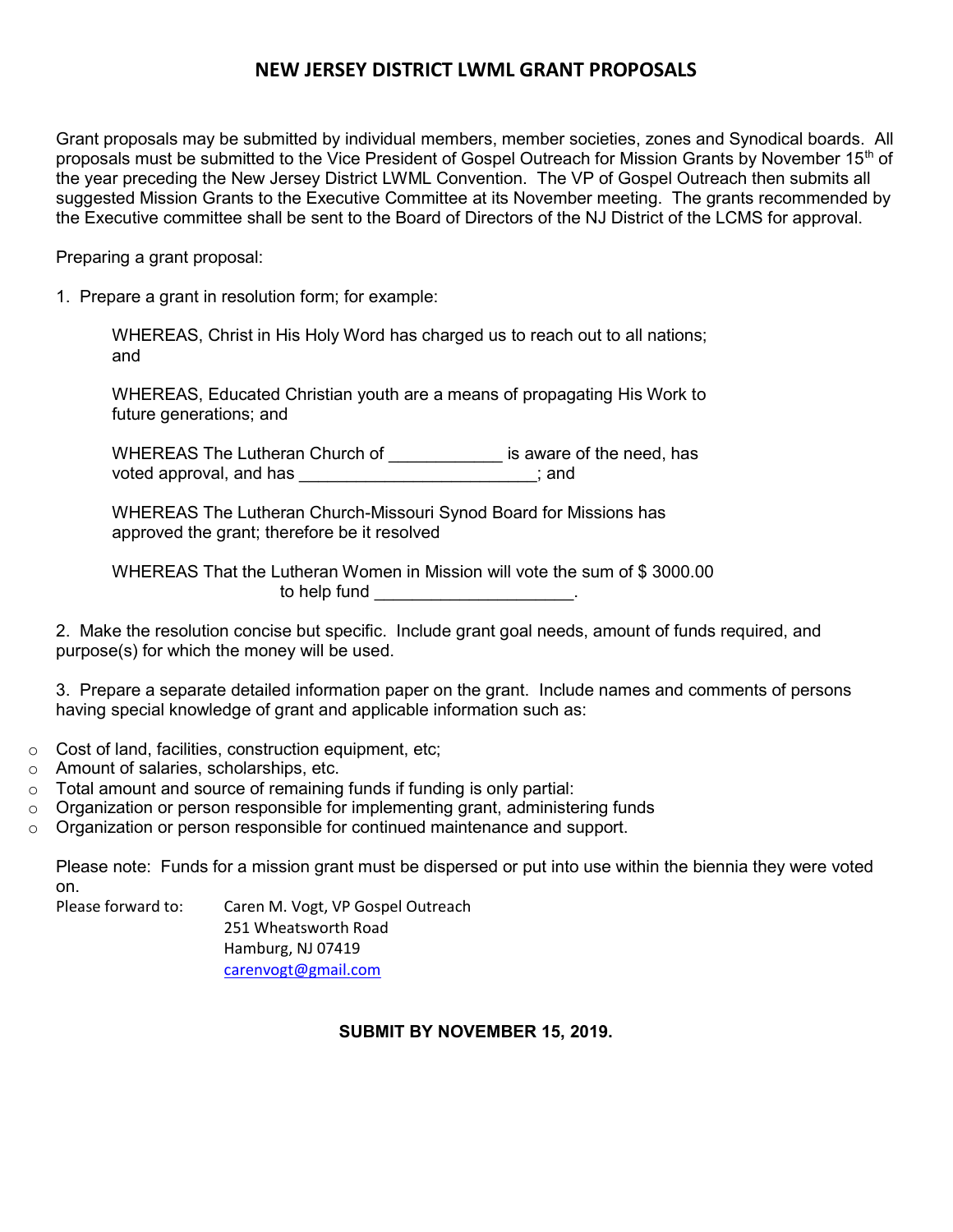## NEW JERSEY DISTRICT LWML GRANT PROPOSALS

Grant proposals may be submitted by individual members, member societies, zones and Synodical boards. All proposals must be submitted to the Vice President of Gospel Outreach for Mission Grants by November 15<sup>th</sup> of the year preceding the New Jersey District LWML Convention. The VP of Gospel Outreach then submits all suggested Mission Grants to the Executive Committee at its November meeting. The grants recommended by the Executive committee shall be sent to the Board of Directors of the NJ District of the LCMS for approval.

Preparing a grant proposal:

1. Prepare a grant in resolution form; for example:

 WHEREAS, Christ in His Holy Word has charged us to reach out to all nations; and

 WHEREAS, Educated Christian youth are a means of propagating His Work to future generations; and

WHEREAS The Lutheran Church of **Example 20** is aware of the need, has voted approval, and has \_\_\_\_\_\_\_\_\_\_\_\_\_\_\_\_\_\_\_\_\_\_\_\_\_; and

 WHEREAS The Lutheran Church-Missouri Synod Board for Missions has approved the grant; therefore be it resolved

 WHEREAS That the Lutheran Women in Mission will vote the sum of \$ 3000.00 to help fund \_\_\_\_\_\_\_\_\_\_\_\_\_\_\_\_\_\_\_\_\_\_.

2. Make the resolution concise but specific. Include grant goal needs, amount of funds required, and purpose(s) for which the money will be used.

3. Prepare a separate detailed information paper on the grant. Include names and comments of persons having special knowledge of grant and applicable information such as:

- o Cost of land, facilities, construction equipment, etc;
- o Amount of salaries, scholarships, etc.
- $\circ$  Total amount and source of remaining funds if funding is only partial:
- $\circ$  Organization or person responsible for implementing grant, administering funds
- $\circ$  Organization or person responsible for continued maintenance and support.

Please note: Funds for a mission grant must be dispersed or put into use within the biennia they were voted on.

Please forward to: Caren M. Vogt, VP Gospel Outreach

 251 Wheatsworth Road Hamburg, NJ 07419 carenvogt@gmail.com

#### SUBMIT BY NOVEMBER 15, 2019.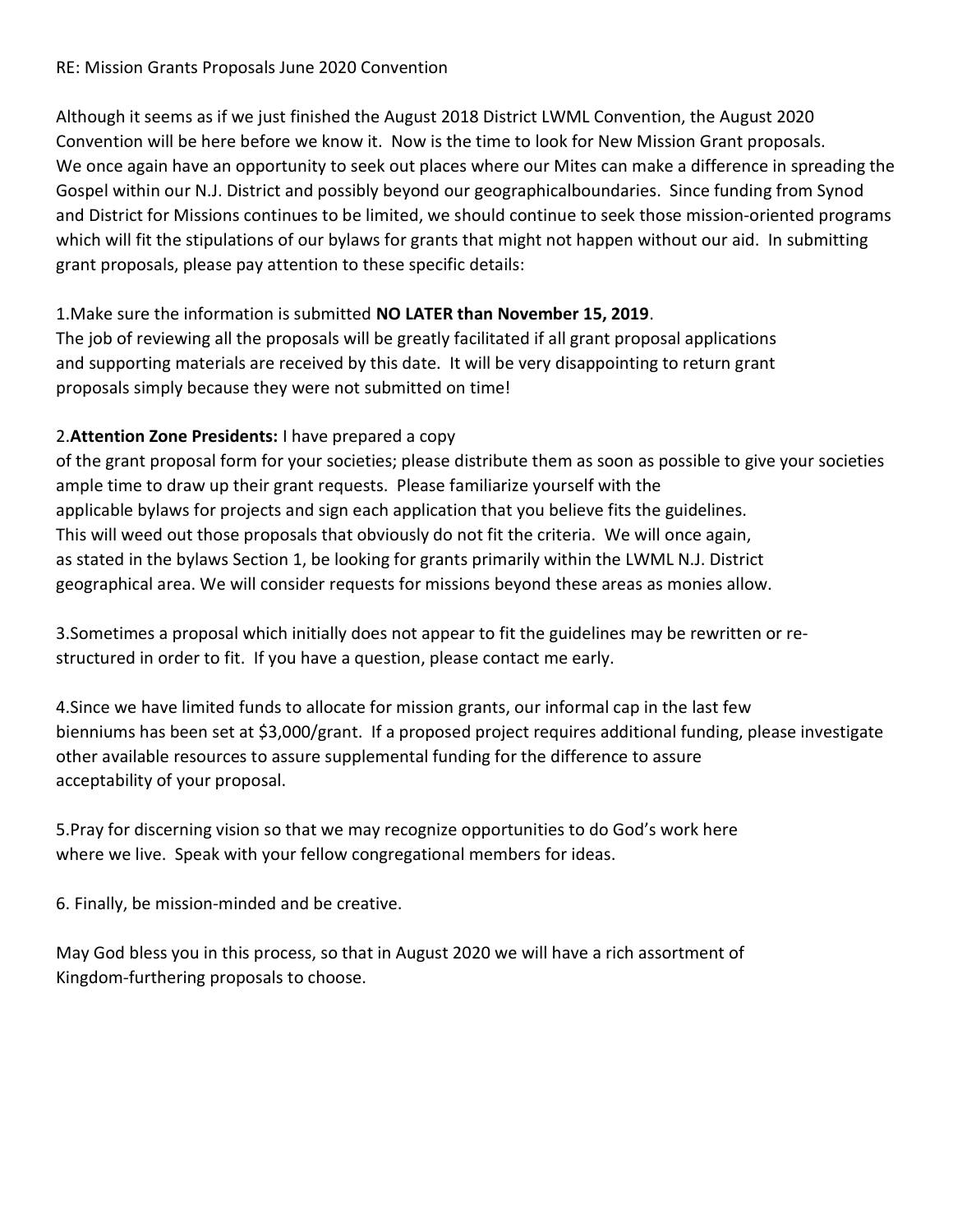### RE: Mission Grants Proposals June 2020 Convention

Although it seems as if we just finished the August 2018 District LWML Convention, the August 2020 Convention will be here before we know it. Now is the time to look for New Mission Grant proposals. We once again have an opportunity to seek out places where our Mites can make a difference in spreading the Gospel within our N.J. District and possibly beyond our geographicalboundaries. Since funding from Synod and District for Missions continues to be limited, we should continue to seek those mission-oriented programs which will fit the stipulations of our bylaws for grants that might not happen without our aid. In submitting grant proposals, please pay attention to these specific details:

## 1.Make sure the information is submitted NO LATER than November 15, 2019.

The job of reviewing all the proposals will be greatly facilitated if all grant proposal applications and supporting materials are received by this date. It will be very disappointing to return grant proposals simply because they were not submitted on time!

# 2.Attention Zone Presidents: I have prepared a copy

of the grant proposal form for your societies; please distribute them as soon as possible to give your societies ample time to draw up their grant requests. Please familiarize yourself with the applicable bylaws for projects and sign each application that you believe fits the guidelines. This will weed out those proposals that obviously do not fit the criteria. We will once again, as stated in the bylaws Section 1, be looking for grants primarily within the LWML N.J. District geographical area. We will consider requests for missions beyond these areas as monies allow.

3.Sometimes a proposal which initially does not appear to fit the guidelines may be rewritten or restructured in order to fit. If you have a question, please contact me early.

4.Since we have limited funds to allocate for mission grants, our informal cap in the last few bienniums has been set at \$3,000/grant. If a proposed project requires additional funding, please investigate other available resources to assure supplemental funding for the difference to assure acceptability of your proposal.

5.Pray for discerning vision so that we may recognize opportunities to do God's work here where we live. Speak with your fellow congregational members for ideas.

6. Finally, be mission-minded and be creative.

May God bless you in this process, so that in August 2020 we will have a rich assortment of Kingdom-furthering proposals to choose.